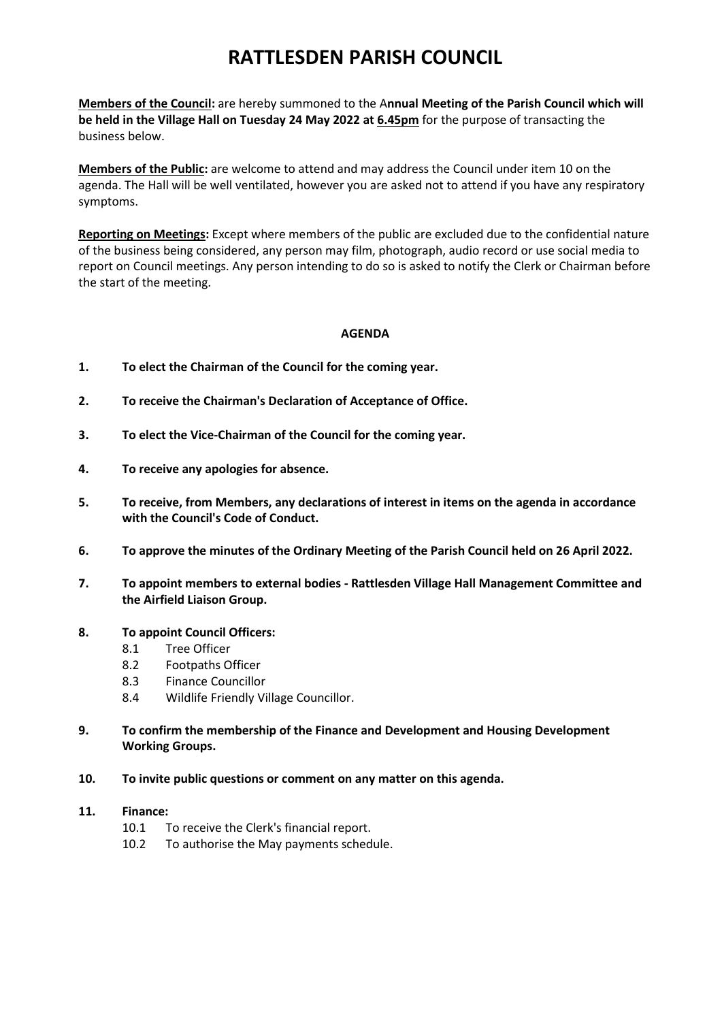# **RATTLESDEN PARISH COUNCIL**

**Members of the Council:** are hereby summoned to the A**nnual Meeting of the Parish Council which will be held in the Village Hall on Tuesday 24 May 2022 at 6.45pm** for the purpose of transacting the business below.

**Members of the Public:** are welcome to attend and may address the Council under item 10 on the agenda. The Hall will be well ventilated, however you are asked not to attend if you have any respiratory symptoms.

**Reporting on Meetings:** Except where members of the public are excluded due to the confidential nature of the business being considered, any person may film, photograph, audio record or use social media to report on Council meetings. Any person intending to do so is asked to notify the Clerk or Chairman before the start of the meeting.

## **AGENDA**

- **1. To elect the Chairman of the Council for the coming year.**
- **2. To receive the Chairman's Declaration of Acceptance of Office.**
- **3. To elect the Vice-Chairman of the Council for the coming year.**
- **4. To receive any apologies for absence.**
- **5. To receive, from Members, any declarations of interest in items on the agenda in accordance with the Council's Code of Conduct.**
- **6. To approve the minutes of the Ordinary Meeting of the Parish Council held on 26 April 2022.**
- **7. To appoint members to external bodies - Rattlesden Village Hall Management Committee and the Airfield Liaison Group.**

### **8. To appoint Council Officers:**

- 8.1 Tree Officer
- 8.2 Footpaths Officer
- 8.3 Finance Councillor
- 8.4 Wildlife Friendly Village Councillor.
- **9. To confirm the membership of the Finance and Development and Housing Development Working Groups.**
- **10. To invite public questions or comment on any matter on this agenda.**

#### **11. Finance:**

- 10.1 To receive the Clerk's financial report.
- 10.2 To authorise the May payments schedule.